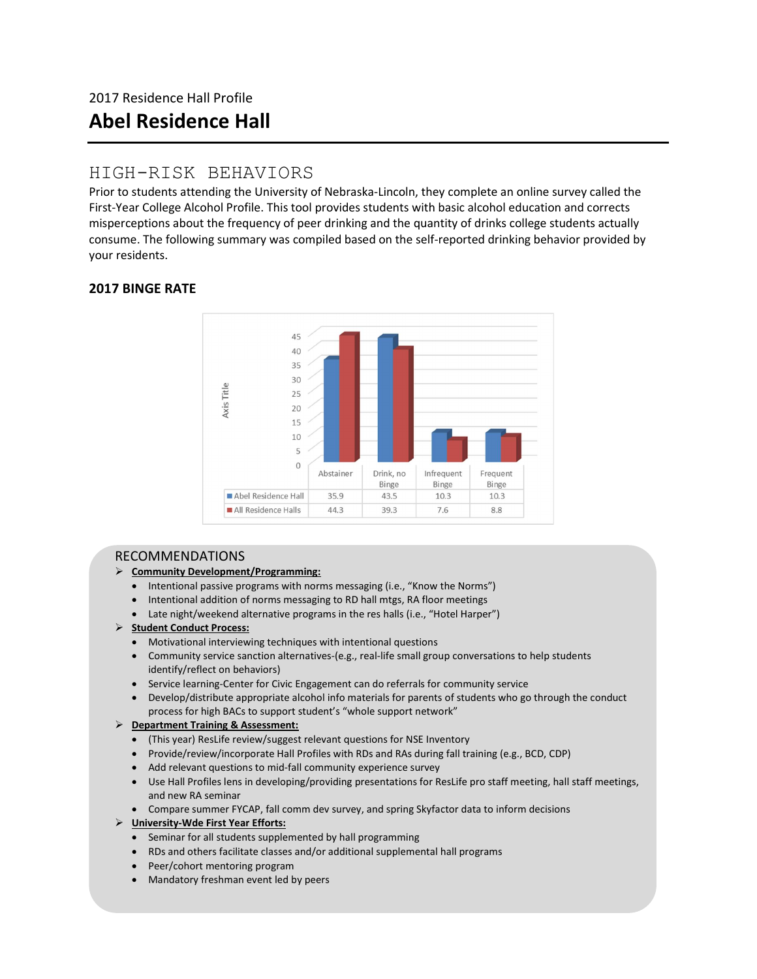## HIGH-RISK BEHAVIORS

Prior to students attending the University of Nebraska-Lincoln, they complete an online survey called the First-Year College Alcohol Profile. This tool provides students with basic alcohol education and corrects misperceptions about the frequency of peer drinking and the quantity of drinks college students actually consume. The following summary was compiled based on the self-reported drinking behavior provided by your residents.

## 2017 BINGE RATE



## RECOMMENDATIONS

## Community Development/Programming:

- Intentional passive programs with norms messaging (i.e., "Know the Norms")
- Intentional addition of norms messaging to RD hall mtgs, RA floor meetings
- Late night/weekend alternative programs in the res halls (i.e., "Hotel Harper")

## $\triangleright$  Student Conduct Process:

- Motivational interviewing techniques with intentional questions
- Community service sanction alternatives-(e.g., real-life small group conversations to help students identify/reflect on behaviors)
- Service learning-Center for Civic Engagement can do referrals for community service
- Develop/distribute appropriate alcohol info materials for parents of students who go through the conduct process for high BACs to support student's "whole support network"

## > Department Training & Assessment:

- (This year) ResLife review/suggest relevant questions for NSE Inventory
- Provide/review/incorporate Hall Profiles with RDs and RAs during fall training (e.g., BCD, CDP)
- Add relevant questions to mid-fall community experience survey
- Use Hall Profiles lens in developing/providing presentations for ResLife pro staff meeting, hall staff meetings, and new RA seminar
- Compare summer FYCAP, fall comm dev survey, and spring Skyfactor data to inform decisions

## > University-Wde First Year Efforts:

- Seminar for all students supplemented by hall programming
- RDs and others facilitate classes and/or additional supplemental hall programs
- Peer/cohort mentoring program
- Mandatory freshman event led by peers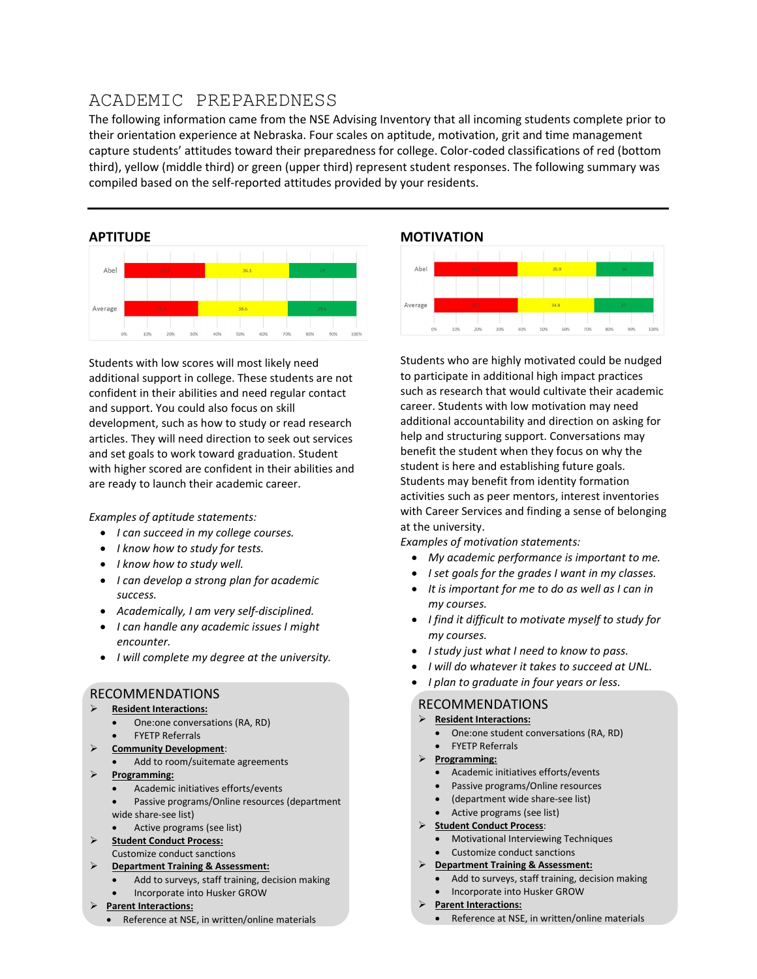# ACADEMIC PREPAREDNESS

The following information came from the NSE Advising Inventory that all incoming students complete prior to their orientation experience at Nebraska. Four scales on aptitude, motivation, grit and time management capture students' attitudes toward their preparedness for college. Color-coded classifications of red (bottom third), yellow (middle third) or green (upper third) represent student responses. The following summary was compiled based on the self-reported attitudes provided by your residents.

## **APTITUDE**



Students with low scores will most likely need additional support in college. These students are not confident in their abilities and need regular contact and support. You could also focus on skill development, such as how to study or read research articles. They will need direction to seek out services and set goals to work toward graduation. Student with higher scored are confident in their abilities and are ready to launch their academic career.

Examples of aptitude statements:

- I can succeed in my college courses.
- I know how to study for tests.
- I know how to study well.
- I can develop a strong plan for academic success.
- Academically, I am very self-disciplined.
- I can handle any academic issues I might encounter.
- I will complete my degree at the university.

#### RECOMMENDATIONS

#### Resident Interactions:

- One:one conversations (RA, RD) FYETP Referrals
- Community Development:
- Add to room/suitemate agreements
- Programming:
	- Academic initiatives efforts/events
	- Passive programs/Online resources (department wide share-see list)
	- Active programs (see list)
- Student Conduct Process: Customize conduct sanctions
- Department Training & Assessment:
	- Add to surveys, staff training, decision making
	- Incorporate into Husker GROW
- Parent Interactions:
	- Reference at NSE, in written/online materials

## MOTIVATION



Students who are highly motivated could be nudged to participate in additional high impact practices such as research that would cultivate their academic career. Students with low motivation may need additional accountability and direction on asking for help and structuring support. Conversations may benefit the student when they focus on why the student is here and establishing future goals. Students may benefit from identity formation activities such as peer mentors, interest inventories with Career Services and finding a sense of belonging at the university.

Examples of motivation statements:

- My academic performance is important to me.
- I set goals for the grades I want in my classes.
- It is important for me to do as well as I can in my courses.
- I find it difficult to motivate myself to study for my courses.
- I study just what I need to know to pass.
- I will do whatever it takes to succeed at UNL.
- I plan to graduate in four years or less.

## RECOMMENDATIONS

- $\triangleright$  Resident Interactions:
	- One:one student conversations (RA, RD)
	- FYETP Referrals
- $\triangleright$  Programming:
	- Academic initiatives efforts/events
	- Passive programs/Online resources
	- (department wide share-see list)
	- Active programs (see list)
- > Student Conduct Process:
	- Motivational Interviewing Techniques
	- Customize conduct sanctions
- $\triangleright$  Department Training & Assessment:
	- Add to surveys, staff training, decision making
	- Incorporate into Husker GROW
- > Parent Interactions:
	- Reference at NSE, in written/online materials